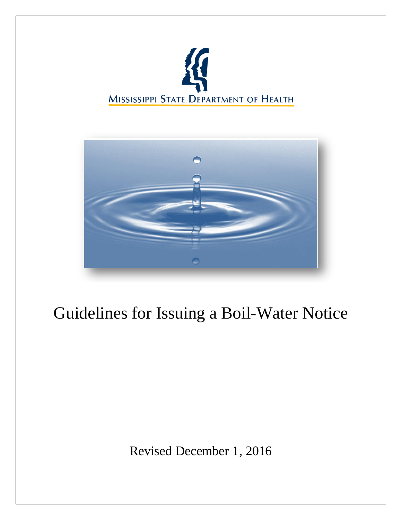



# Guidelines for Issuing a Boil-Water Notice

Revised December 1, 2016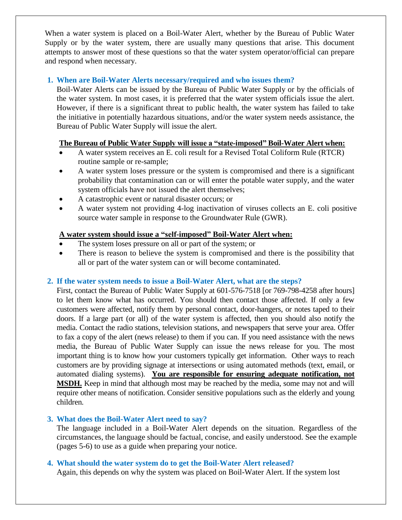When a water system is placed on a Boil-Water Alert, whether by the Bureau of Public Water Supply or by the water system, there are usually many questions that arise. This document attempts to answer most of these questions so that the water system operator/official can prepare and respond when necessary.

### **1. When are Boil-Water Alerts necessary/required and who issues them?**

Boil-Water Alerts can be issued by the Bureau of Public Water Supply or by the officials of the water system. In most cases, it is preferred that the water system officials issue the alert. However, if there is a significant threat to public health, the water system has failed to take the initiative in potentially hazardous situations, and/or the water system needs assistance, the Bureau of Public Water Supply will issue the alert.

### **The Bureau of Public Water Supply will issue a "state-imposed" Boil-Water Alert when:**

- A water system receives an E. coli result for a Revised Total Coliform Rule (RTCR) routine sample or re-sample;
- A water system loses pressure or the system is compromised and there is a significant probability that contamination can or will enter the potable water supply, and the water system officials have not issued the alert themselves;
- A catastrophic event or natural disaster occurs; or
- A water system not providing 4-log inactivation of viruses collects an E. coli positive source water sample in response to the Groundwater Rule (GWR).

### **A water system should issue a "self-imposed" Boil-Water Alert when:**

- The system loses pressure on all or part of the system; or
- There is reason to believe the system is compromised and there is the possibility that all or part of the water system can or will become contaminated.

### **2. If the water system needs to issue a Boil-Water Alert, what are the steps?**

First, contact the Bureau of Public Water Supply at 601-576-7518 [or 769-798-4258 after hours] to let them know what has occurred. You should then contact those affected. If only a few customers were affected, notify them by personal contact, door-hangers, or notes taped to their doors. If a large part (or all) of the water system is affected, then you should also notify the media. Contact the radio stations, television stations, and newspapers that serve your area. Offer to fax a copy of the alert (news release) to them if you can. If you need assistance with the news media, the Bureau of Public Water Supply can issue the news release for you. The most important thing is to know how your customers typically get information. Other ways to reach customers are by providing signage at intersections or using automated methods (text, email, or automated dialing systems). **You are responsible for ensuring adequate notification, not MSDH.** Keep in mind that although most may be reached by the media, some may not and will require other means of notification. Consider sensitive populations such as the elderly and young children.

### **3. What does the Boil-Water Alert need to say?**

The language included in a Boil-Water Alert depends on the situation. Regardless of the circumstances, the language should be factual, concise, and easily understood. See the example (pages 5-6) to use as a guide when preparing your notice.

### **4. What should the water system do to get the Boil-Water Alert released?**

Again, this depends on why the system was placed on Boil-Water Alert. If the system lost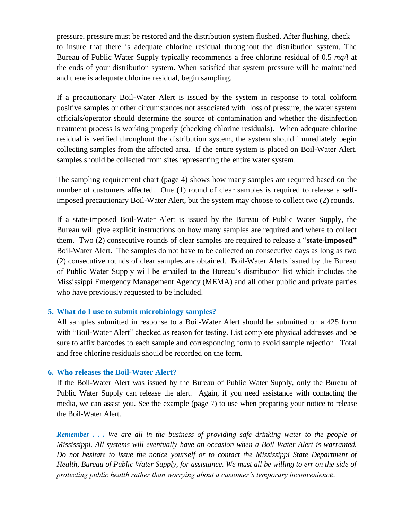pressure, pressure must be restored and the distribution system flushed. After flushing, check to insure that there is adequate chlorine residual throughout the distribution system. The Bureau of Public Water Supply typically recommends a free chlorine residual of 0.5 *mg/l* at the ends of your distribution system. When satisfied that system pressure will be maintained and there is adequate chlorine residual, begin sampling.

If a precautionary Boil-Water Alert is issued by the system in response to total coliform positive samples or other circumstances not associated with loss of pressure, the water system officials/operator should determine the source of contamination and whether the disinfection treatment process is working properly (checking chlorine residuals). When adequate chlorine residual is verified throughout the distribution system, the system should immediately begin collecting samples from the affected area. If the entire system is placed on Boil-Water Alert, samples should be collected from sites representing the entire water system.

The sampling requirement chart (page 4) shows how many samples are required based on the number of customers affected. One (1) round of clear samples is required to release a selfimposed precautionary Boil-Water Alert, but the system may choose to collect two (2) rounds.

If a state-imposed Boil-Water Alert is issued by the Bureau of Public Water Supply, the Bureau will give explicit instructions on how many samples are required and where to collect them. Two (2) consecutive rounds of clear samples are required to release a "**state-imposed"**  Boil-Water Alert. The samples do not have to be collected on consecutive days as long as two (2) consecutive rounds of clear samples are obtained. Boil-Water Alerts issued by the Bureau of Public Water Supply will be emailed to the Bureau's distribution list which includes the Mississippi Emergency Management Agency (MEMA) and all other public and private parties who have previously requested to be included.

### **5. What do I use to submit microbiology samples?**

All samples submitted in response to a Boil-Water Alert should be submitted on a 425 form with "Boil-Water Alert" checked as reason for testing. List complete physical addresses and be sure to affix barcodes to each sample and corresponding form to avoid sample rejection. Total and free chlorine residuals should be recorded on the form.

### **6. Who releases the Boil-Water Alert?**

If the Boil-Water Alert was issued by the Bureau of Public Water Supply, only the Bureau of Public Water Supply can release the alert. Again, if you need assistance with contacting the media, we can assist you. See the example (page 7) to use when preparing your notice to release the Boil-Water Alert.

*Remember . . . We are all in the business of providing safe drinking water to the people of Mississippi. All systems will eventually have an occasion when a Boil-Water Alert is warranted. Do not hesitate to issue the notice yourself or to contact the Mississippi State Department of Health, Bureau of Public Water Supply, for assistance. We must all be willing to err on the side of protecting public health rather than worrying about a customer's temporary inconvenience.*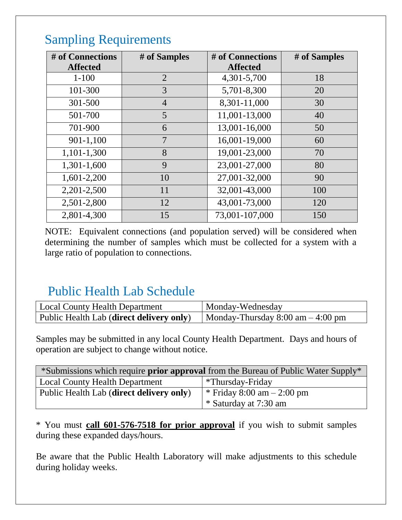| # of Connections | # of Samples   | # of Connections | # of Samples |
|------------------|----------------|------------------|--------------|
| <b>Affected</b>  |                | <b>Affected</b>  |              |
| $1 - 100$        | $\overline{2}$ | 4,301-5,700      | 18           |
| 101-300          | 3              | 5,701-8,300      | 20           |
| 301-500          | $\overline{4}$ | 8,301-11,000     | 30           |
| 501-700          | 5              | 11,001-13,000    | 40           |
| 701-900          | 6              | 13,001-16,000    | 50           |
| 901-1,100        | 7              | 16,001-19,000    | 60           |
| 1,101-1,300      | 8              | 19,001-23,000    | 70           |
| 1,301-1,600      | 9              | 23,001-27,000    | 80           |
| 1,601-2,200      | 10             | 27,001-32,000    | 90           |
| 2,201-2,500      | 11             | 32,001-43,000    | 100          |
| 2,501-2,800      | 12             | 43,001-73,000    | 120          |
| 2,801-4,300      | 15             | 73,001-107,000   | 150          |

Sampling Requirements

NOTE: Equivalent connections (and population served) will be considered when determining the number of samples which must be collected for a system with a large ratio of population to connections.

## Public Health Lab Schedule

| <b>Local County Health Department</b>    | Monday-Wednesday                                    |
|------------------------------------------|-----------------------------------------------------|
| Public Health Lab (direct delivery only) | Monday-Thursday $8:00 \text{ am} - 4:00 \text{ pm}$ |

Samples may be submitted in any local County Health Department. Days and hours of operation are subject to change without notice.

| *Submissions which require <b>prior approval</b> from the Bureau of Public Water Supply* |                              |  |  |
|------------------------------------------------------------------------------------------|------------------------------|--|--|
| Local County Health Department                                                           | *Thursday-Friday             |  |  |
| Public Health Lab (direct delivery only)                                                 | * Friday 8:00 am $- 2:00$ pm |  |  |
|                                                                                          | * Saturday at 7:30 am        |  |  |

\* You must **call 601-576-7518 for prior approval** if you wish to submit samples during these expanded days/hours.

Be aware that the Public Health Laboratory will make adjustments to this schedule during holiday weeks.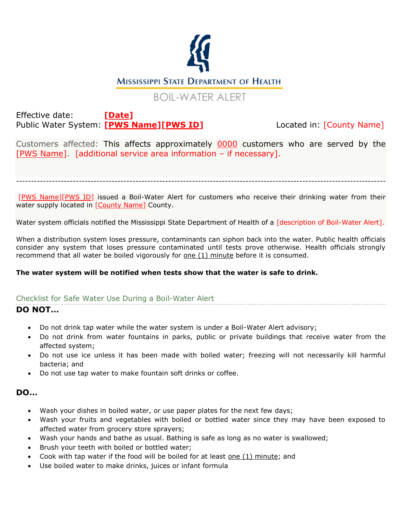

### **BOIL-WATER ALERT**

Effective date: **[Date]** Public Water System: **[PWS Name][PWS ID]** Located in: [County Name]

Customers affected: This affects approximately 0000 customers who are served by the [PWS Name]. [additional service area information – if necessary].

----------------------------------------------------------------------------------------------------------------------------

[PWS Name][PWS ID] issued a Boil-Water Alert for customers who receive their drinking water from their water supply located in [County Name] County.

Water system officials notified the Mississippi State Department of Health of a [description of Boil-Water Alert].

When a distribution system loses pressure, contaminants can siphon back into the water. Public health officials consider any system that loses pressure contaminated until tests prove otherwise. Health officials strongly recommend that all water be boiled vigorously for one  $(1)$  minute before it is consumed.

### **The water system will be notified when tests show that the water is safe to drink.**

### Checklist for Safe Water Use During a Boil-Water Alert

### **DO NOT…**

- Do not drink tap water while the water system is under a Boil-Water Alert advisory;
- Do not drink from water fountains in parks, public or private buildings that receive water from the affected system;
- Do not use ice unless it has been made with boiled water; freezing will not necessarily kill harmful bacteria; and
- Do not use tap water to make fountain soft drinks or coffee.

### **DO…**

- Wash your dishes in boiled water, or use paper plates for the next few days;
- Wash your fruits and vegetables with boiled or bottled water since they may have been exposed to affected water from grocery store sprayers;
- Wash your hands and bathe as usual. Bathing is safe as long as no water is swallowed;
- Brush your teeth with boiled or bottled water;
- Cook with tap water if the food will be boiled for at least one (1) minute; and
- Use boiled water to make drinks, juices or infant formula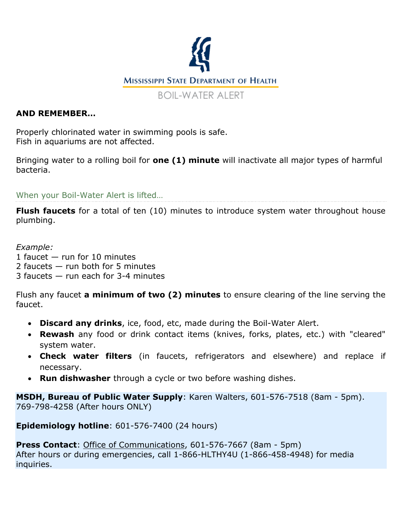

### **AND REMEMBER…**

Properly chlorinated water in swimming pools is safe. Fish in aquariums are not affected.

Bringing water to a rolling boil for **one (1) minute** will inactivate all major types of harmful bacteria.

When your Boil-Water Alert is lifted…

**Flush faucets** for a total of ten (10) minutes to introduce system water throughout house plumbing.

### *Example:*

- 1 faucet run for 10 minutes
- 2 faucets run both for 5 minutes
- 3 faucets run each for 3-4 minutes

Flush any faucet **a minimum of two (2) minutes** to ensure clearing of the line serving the faucet.

- **Discard any drinks**, ice, food, etc, made during the Boil-Water Alert.
- **Rewash** any food or drink contact items (knives, forks, plates, etc.) with "cleared" system water.
- **Check water filters** (in faucets, refrigerators and elsewhere) and replace if necessary.
- **Run dishwasher** through a cycle or two before washing dishes.

**MSDH, Bureau of Public Water Supply**: Karen Walters, 601-576-7518 (8am - 5pm). 769-798-4258 (After hours ONLY)

**Epidemiology hotline**: 601-576-7400 (24 hours)

**Press Contact**: Office of Communications, 601-576-7667 (8am - 5pm) After hours or during emergencies, call 1-866-HLTHY4U (1-866-458-4948) for media inquiries.